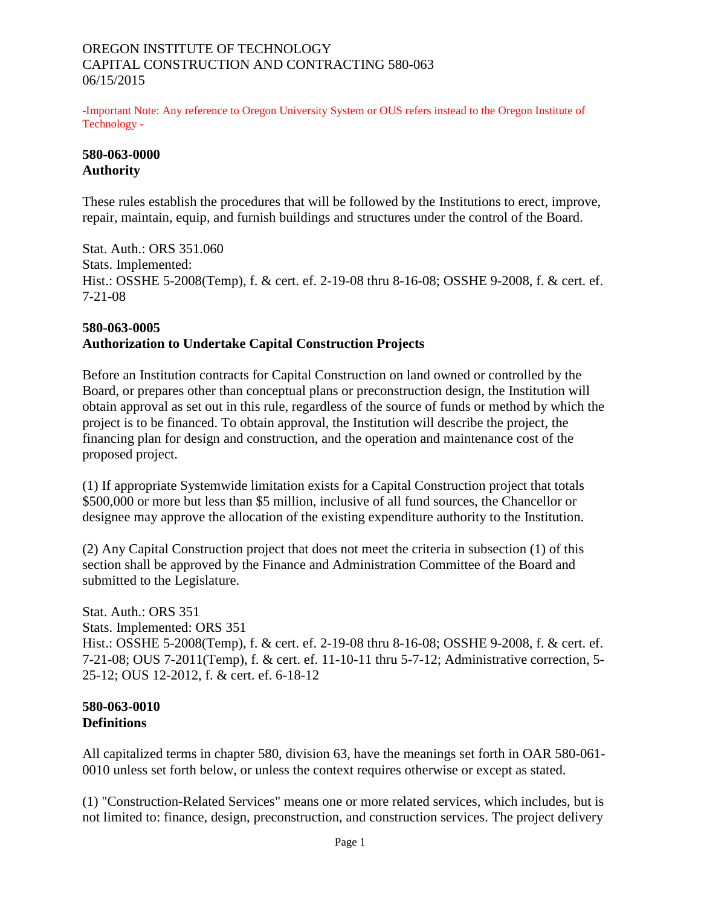#### OREGON INSTITUTE OF TECHNOLOGY CAPITAL CONSTRUCTION AND CONTRACTING 580-063 06/15/2015

-Important Note: Any reference to Oregon University System or OUS refers instead to the Oregon Institute of Technology -

#### **580-063-0000 Authority**

These rules establish the procedures that will be followed by the Institutions to erect, improve, repair, maintain, equip, and furnish buildings and structures under the control of the Board.

Stat. Auth.: ORS 351.060 Stats. Implemented: Hist.: OSSHE 5-2008(Temp), f. & cert. ef. 2-19-08 thru 8-16-08; OSSHE 9-2008, f. & cert. ef. 7-21-08

# **580-063-0005 Authorization to Undertake Capital Construction Projects**

Before an Institution contracts for Capital Construction on land owned or controlled by the Board, or prepares other than conceptual plans or preconstruction design, the Institution will obtain approval as set out in this rule, regardless of the source of funds or method by which the project is to be financed. To obtain approval, the Institution will describe the project, the financing plan for design and construction, and the operation and maintenance cost of the proposed project.

(1) If appropriate Systemwide limitation exists for a Capital Construction project that totals \$500,000 or more but less than \$5 million, inclusive of all fund sources, the Chancellor or designee may approve the allocation of the existing expenditure authority to the Institution.

(2) Any Capital Construction project that does not meet the criteria in subsection (1) of this section shall be approved by the Finance and Administration Committee of the Board and submitted to the Legislature.

Stat. Auth.: ORS 351 Stats. Implemented: ORS 351 Hist.: OSSHE 5-2008(Temp), f. & cert. ef. 2-19-08 thru 8-16-08; OSSHE 9-2008, f. & cert. ef. 7-21-08; OUS 7-2011(Temp), f. & cert. ef. 11-10-11 thru 5-7-12; Administrative correction, 5- 25-12; OUS 12-2012, f. & cert. ef. 6-18-12

#### **580-063-0010 Definitions**

All capitalized terms in chapter 580, division 63, have the meanings set forth in OAR 580-061- 0010 unless set forth below, or unless the context requires otherwise or except as stated.

(1) "Construction-Related Services" means one or more related services, which includes, but is not limited to: finance, design, preconstruction, and construction services. The project delivery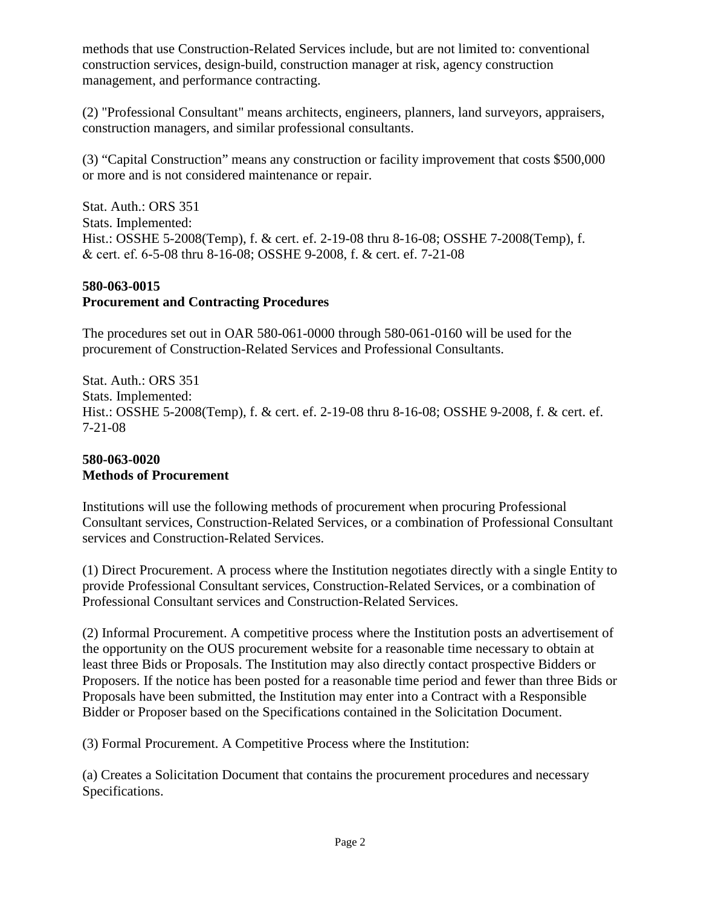methods that use Construction-Related Services include, but are not limited to: conventional construction services, design-build, construction manager at risk, agency construction management, and performance contracting.

(2) "Professional Consultant" means architects, engineers, planners, land surveyors, appraisers, construction managers, and similar professional consultants.

(3) "Capital Construction" means any construction or facility improvement that costs \$500,000 or more and is not considered maintenance or repair.

Stat. Auth.: ORS 351 Stats. Implemented: Hist.: OSSHE 5-2008(Temp), f. & cert. ef. 2-19-08 thru 8-16-08; OSSHE 7-2008(Temp), f. & cert. ef. 6-5-08 thru 8-16-08; OSSHE 9-2008, f. & cert. ef. 7-21-08

### **580-063-0015 Procurement and Contracting Procedures**

The procedures set out in OAR 580-061-0000 through 580-061-0160 will be used for the procurement of Construction-Related Services and Professional Consultants.

Stat. Auth.: ORS 351 Stats. Implemented: Hist.: OSSHE 5-2008(Temp), f. & cert. ef. 2-19-08 thru 8-16-08; OSSHE 9-2008, f. & cert. ef. 7-21-08

### **580-063-0020 Methods of Procurement**

Institutions will use the following methods of procurement when procuring Professional Consultant services, Construction-Related Services, or a combination of Professional Consultant services and Construction-Related Services.

(1) Direct Procurement. A process where the Institution negotiates directly with a single Entity to provide Professional Consultant services, Construction-Related Services, or a combination of Professional Consultant services and Construction-Related Services.

(2) Informal Procurement. A competitive process where the Institution posts an advertisement of the opportunity on the OUS procurement website for a reasonable time necessary to obtain at least three Bids or Proposals. The Institution may also directly contact prospective Bidders or Proposers. If the notice has been posted for a reasonable time period and fewer than three Bids or Proposals have been submitted, the Institution may enter into a Contract with a Responsible Bidder or Proposer based on the Specifications contained in the Solicitation Document.

(3) Formal Procurement. A Competitive Process where the Institution:

(a) Creates a Solicitation Document that contains the procurement procedures and necessary Specifications.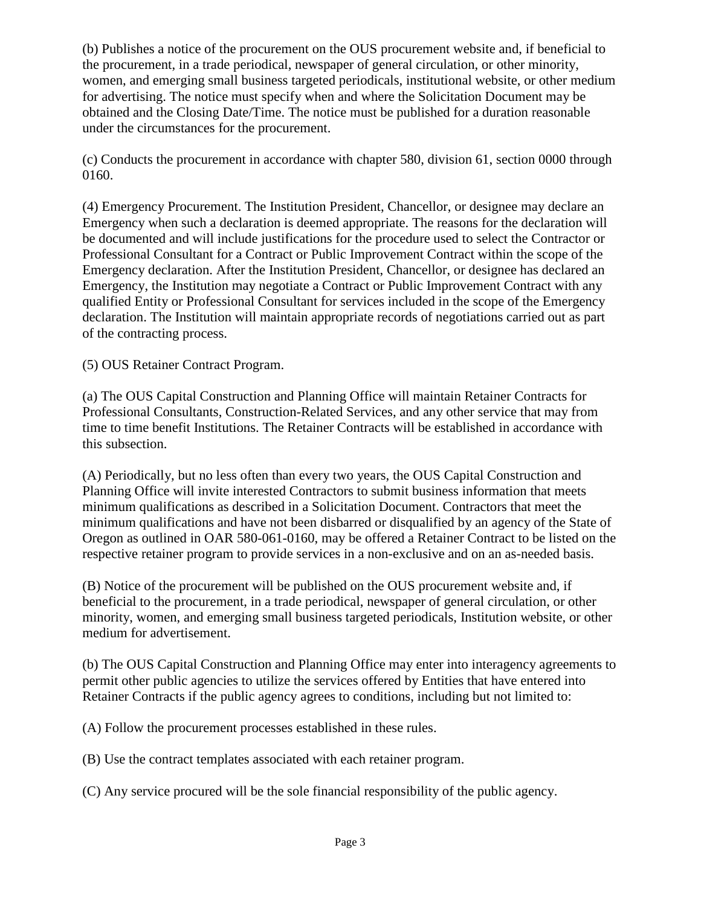(b) Publishes a notice of the procurement on the OUS procurement website and, if beneficial to the procurement, in a trade periodical, newspaper of general circulation, or other minority, women, and emerging small business targeted periodicals, institutional website, or other medium for advertising. The notice must specify when and where the Solicitation Document may be obtained and the Closing Date/Time. The notice must be published for a duration reasonable under the circumstances for the procurement.

(c) Conducts the procurement in accordance with chapter 580, division 61, section 0000 through 0160.

(4) Emergency Procurement. The Institution President, Chancellor, or designee may declare an Emergency when such a declaration is deemed appropriate. The reasons for the declaration will be documented and will include justifications for the procedure used to select the Contractor or Professional Consultant for a Contract or Public Improvement Contract within the scope of the Emergency declaration. After the Institution President, Chancellor, or designee has declared an Emergency, the Institution may negotiate a Contract or Public Improvement Contract with any qualified Entity or Professional Consultant for services included in the scope of the Emergency declaration. The Institution will maintain appropriate records of negotiations carried out as part of the contracting process.

(5) OUS Retainer Contract Program.

(a) The OUS Capital Construction and Planning Office will maintain Retainer Contracts for Professional Consultants, Construction-Related Services, and any other service that may from time to time benefit Institutions. The Retainer Contracts will be established in accordance with this subsection.

(A) Periodically, but no less often than every two years, the OUS Capital Construction and Planning Office will invite interested Contractors to submit business information that meets minimum qualifications as described in a Solicitation Document. Contractors that meet the minimum qualifications and have not been disbarred or disqualified by an agency of the State of Oregon as outlined in OAR 580-061-0160, may be offered a Retainer Contract to be listed on the respective retainer program to provide services in a non-exclusive and on an as-needed basis.

(B) Notice of the procurement will be published on the OUS procurement website and, if beneficial to the procurement, in a trade periodical, newspaper of general circulation, or other minority, women, and emerging small business targeted periodicals, Institution website, or other medium for advertisement.

(b) The OUS Capital Construction and Planning Office may enter into interagency agreements to permit other public agencies to utilize the services offered by Entities that have entered into Retainer Contracts if the public agency agrees to conditions, including but not limited to:

(A) Follow the procurement processes established in these rules.

(B) Use the contract templates associated with each retainer program.

(C) Any service procured will be the sole financial responsibility of the public agency.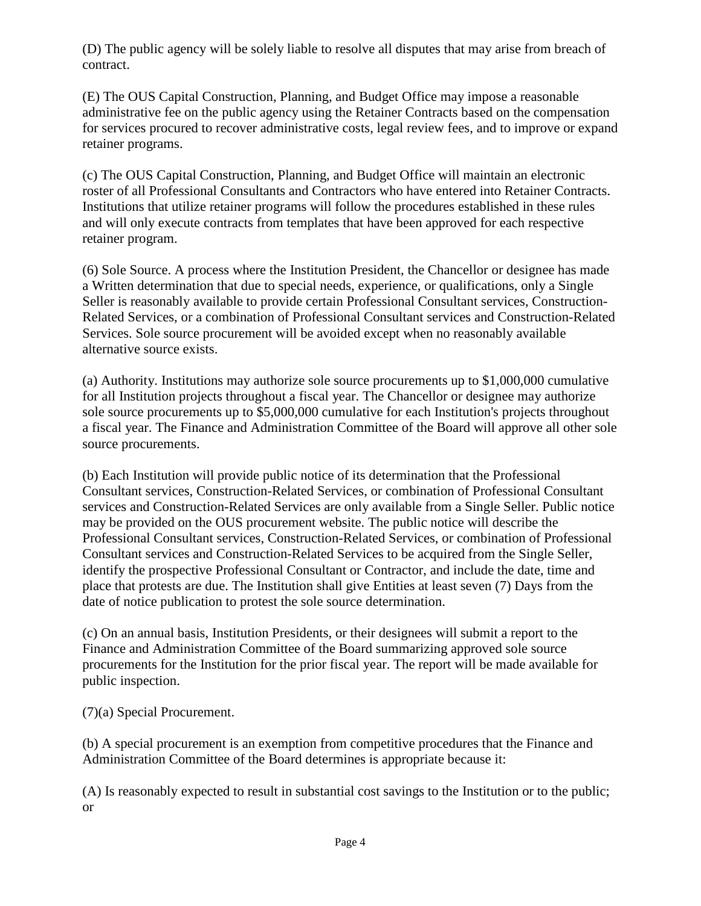(D) The public agency will be solely liable to resolve all disputes that may arise from breach of contract.

(E) The OUS Capital Construction, Planning, and Budget Office may impose a reasonable administrative fee on the public agency using the Retainer Contracts based on the compensation for services procured to recover administrative costs, legal review fees, and to improve or expand retainer programs.

(c) The OUS Capital Construction, Planning, and Budget Office will maintain an electronic roster of all Professional Consultants and Contractors who have entered into Retainer Contracts. Institutions that utilize retainer programs will follow the procedures established in these rules and will only execute contracts from templates that have been approved for each respective retainer program.

(6) Sole Source. A process where the Institution President, the Chancellor or designee has made a Written determination that due to special needs, experience, or qualifications, only a Single Seller is reasonably available to provide certain Professional Consultant services, Construction-Related Services, or a combination of Professional Consultant services and Construction-Related Services. Sole source procurement will be avoided except when no reasonably available alternative source exists.

(a) Authority. Institutions may authorize sole source procurements up to \$1,000,000 cumulative for all Institution projects throughout a fiscal year. The Chancellor or designee may authorize sole source procurements up to \$5,000,000 cumulative for each Institution's projects throughout a fiscal year. The Finance and Administration Committee of the Board will approve all other sole source procurements.

(b) Each Institution will provide public notice of its determination that the Professional Consultant services, Construction-Related Services, or combination of Professional Consultant services and Construction-Related Services are only available from a Single Seller. Public notice may be provided on the OUS procurement website. The public notice will describe the Professional Consultant services, Construction-Related Services, or combination of Professional Consultant services and Construction-Related Services to be acquired from the Single Seller, identify the prospective Professional Consultant or Contractor, and include the date, time and place that protests are due. The Institution shall give Entities at least seven (7) Days from the date of notice publication to protest the sole source determination.

(c) On an annual basis, Institution Presidents, or their designees will submit a report to the Finance and Administration Committee of the Board summarizing approved sole source procurements for the Institution for the prior fiscal year. The report will be made available for public inspection.

(7)(a) Special Procurement.

(b) A special procurement is an exemption from competitive procedures that the Finance and Administration Committee of the Board determines is appropriate because it:

(A) Is reasonably expected to result in substantial cost savings to the Institution or to the public; or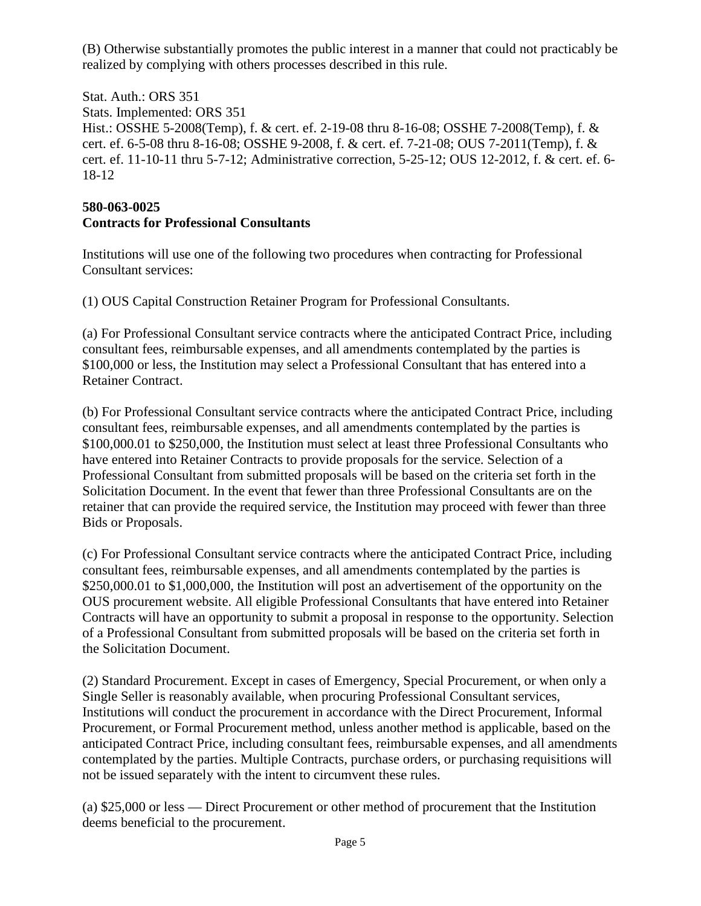(B) Otherwise substantially promotes the public interest in a manner that could not practicably be realized by complying with others processes described in this rule.

Stat. Auth.: ORS 351 Stats. Implemented: ORS 351 Hist.: OSSHE 5-2008(Temp), f. & cert. ef. 2-19-08 thru 8-16-08; OSSHE 7-2008(Temp), f. & cert. ef. 6-5-08 thru 8-16-08; OSSHE 9-2008, f. & cert. ef. 7-21-08; OUS 7-2011(Temp), f. & cert. ef. 11-10-11 thru 5-7-12; Administrative correction, 5-25-12; OUS 12-2012, f. & cert. ef. 6- 18-12

### **580-063-0025 Contracts for Professional Consultants**

Institutions will use one of the following two procedures when contracting for Professional Consultant services:

(1) OUS Capital Construction Retainer Program for Professional Consultants.

(a) For Professional Consultant service contracts where the anticipated Contract Price, including consultant fees, reimbursable expenses, and all amendments contemplated by the parties is \$100,000 or less, the Institution may select a Professional Consultant that has entered into a Retainer Contract.

(b) For Professional Consultant service contracts where the anticipated Contract Price, including consultant fees, reimbursable expenses, and all amendments contemplated by the parties is \$100,000.01 to \$250,000, the Institution must select at least three Professional Consultants who have entered into Retainer Contracts to provide proposals for the service. Selection of a Professional Consultant from submitted proposals will be based on the criteria set forth in the Solicitation Document. In the event that fewer than three Professional Consultants are on the retainer that can provide the required service, the Institution may proceed with fewer than three Bids or Proposals.

(c) For Professional Consultant service contracts where the anticipated Contract Price, including consultant fees, reimbursable expenses, and all amendments contemplated by the parties is \$250,000.01 to \$1,000,000, the Institution will post an advertisement of the opportunity on the OUS procurement website. All eligible Professional Consultants that have entered into Retainer Contracts will have an opportunity to submit a proposal in response to the opportunity. Selection of a Professional Consultant from submitted proposals will be based on the criteria set forth in the Solicitation Document.

(2) Standard Procurement. Except in cases of Emergency, Special Procurement, or when only a Single Seller is reasonably available, when procuring Professional Consultant services, Institutions will conduct the procurement in accordance with the Direct Procurement, Informal Procurement, or Formal Procurement method, unless another method is applicable, based on the anticipated Contract Price, including consultant fees, reimbursable expenses, and all amendments contemplated by the parties. Multiple Contracts, purchase orders, or purchasing requisitions will not be issued separately with the intent to circumvent these rules.

(a) \$25,000 or less — Direct Procurement or other method of procurement that the Institution deems beneficial to the procurement.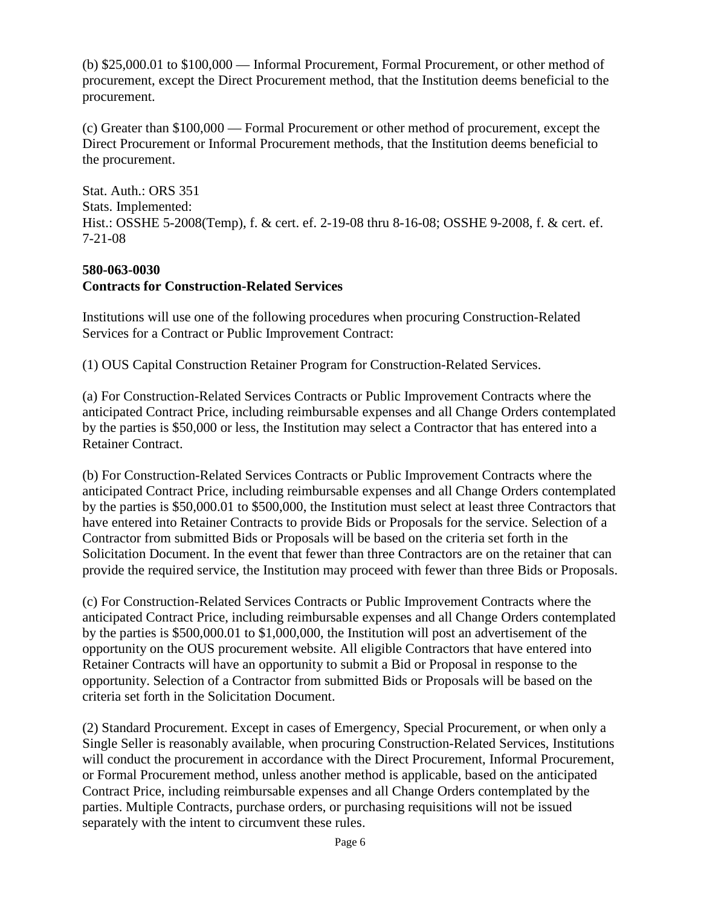(b) \$25,000.01 to \$100,000 — Informal Procurement, Formal Procurement, or other method of procurement, except the Direct Procurement method, that the Institution deems beneficial to the procurement.

(c) Greater than \$100,000 — Formal Procurement or other method of procurement, except the Direct Procurement or Informal Procurement methods, that the Institution deems beneficial to the procurement.

Stat. Auth.: ORS 351 Stats. Implemented: Hist.: OSSHE 5-2008(Temp), f. & cert. ef. 2-19-08 thru 8-16-08; OSSHE 9-2008, f. & cert. ef. 7-21-08

# **580-063-0030 Contracts for Construction-Related Services**

Institutions will use one of the following procedures when procuring Construction-Related Services for a Contract or Public Improvement Contract:

(1) OUS Capital Construction Retainer Program for Construction-Related Services.

(a) For Construction-Related Services Contracts or Public Improvement Contracts where the anticipated Contract Price, including reimbursable expenses and all Change Orders contemplated by the parties is \$50,000 or less, the Institution may select a Contractor that has entered into a Retainer Contract.

(b) For Construction-Related Services Contracts or Public Improvement Contracts where the anticipated Contract Price, including reimbursable expenses and all Change Orders contemplated by the parties is \$50,000.01 to \$500,000, the Institution must select at least three Contractors that have entered into Retainer Contracts to provide Bids or Proposals for the service. Selection of a Contractor from submitted Bids or Proposals will be based on the criteria set forth in the Solicitation Document. In the event that fewer than three Contractors are on the retainer that can provide the required service, the Institution may proceed with fewer than three Bids or Proposals.

(c) For Construction-Related Services Contracts or Public Improvement Contracts where the anticipated Contract Price, including reimbursable expenses and all Change Orders contemplated by the parties is \$500,000.01 to \$1,000,000, the Institution will post an advertisement of the opportunity on the OUS procurement website. All eligible Contractors that have entered into Retainer Contracts will have an opportunity to submit a Bid or Proposal in response to the opportunity. Selection of a Contractor from submitted Bids or Proposals will be based on the criteria set forth in the Solicitation Document.

(2) Standard Procurement. Except in cases of Emergency, Special Procurement, or when only a Single Seller is reasonably available, when procuring Construction-Related Services, Institutions will conduct the procurement in accordance with the Direct Procurement, Informal Procurement, or Formal Procurement method, unless another method is applicable, based on the anticipated Contract Price, including reimbursable expenses and all Change Orders contemplated by the parties. Multiple Contracts, purchase orders, or purchasing requisitions will not be issued separately with the intent to circumvent these rules.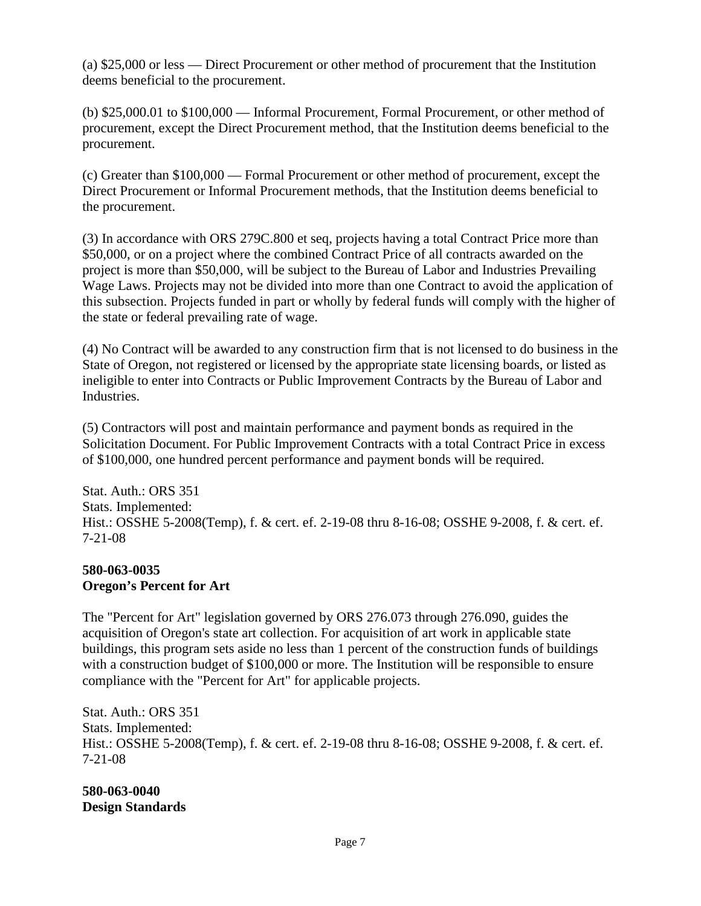(a) \$25,000 or less — Direct Procurement or other method of procurement that the Institution deems beneficial to the procurement.

(b) \$25,000.01 to \$100,000 — Informal Procurement, Formal Procurement, or other method of procurement, except the Direct Procurement method, that the Institution deems beneficial to the procurement.

(c) Greater than \$100,000 — Formal Procurement or other method of procurement, except the Direct Procurement or Informal Procurement methods, that the Institution deems beneficial to the procurement.

(3) In accordance with ORS 279C.800 et seq, projects having a total Contract Price more than \$50,000, or on a project where the combined Contract Price of all contracts awarded on the project is more than \$50,000, will be subject to the Bureau of Labor and Industries Prevailing Wage Laws. Projects may not be divided into more than one Contract to avoid the application of this subsection. Projects funded in part or wholly by federal funds will comply with the higher of the state or federal prevailing rate of wage.

(4) No Contract will be awarded to any construction firm that is not licensed to do business in the State of Oregon, not registered or licensed by the appropriate state licensing boards, or listed as ineligible to enter into Contracts or Public Improvement Contracts by the Bureau of Labor and Industries.

(5) Contractors will post and maintain performance and payment bonds as required in the Solicitation Document. For Public Improvement Contracts with a total Contract Price in excess of \$100,000, one hundred percent performance and payment bonds will be required.

Stat. Auth.: ORS 351 Stats. Implemented: Hist.: OSSHE 5-2008(Temp), f. & cert. ef. 2-19-08 thru 8-16-08; OSSHE 9-2008, f. & cert. ef. 7-21-08

### **580-063-0035 Oregon's Percent for Art**

The "Percent for Art" legislation governed by ORS 276.073 through 276.090, guides the acquisition of Oregon's state art collection. For acquisition of art work in applicable state buildings, this program sets aside no less than 1 percent of the construction funds of buildings with a construction budget of \$100,000 or more. The Institution will be responsible to ensure compliance with the "Percent for Art" for applicable projects.

Stat. Auth.: ORS 351 Stats. Implemented: Hist.: OSSHE 5-2008(Temp), f. & cert. ef. 2-19-08 thru 8-16-08; OSSHE 9-2008, f. & cert. ef. 7-21-08

**580-063-0040 Design Standards**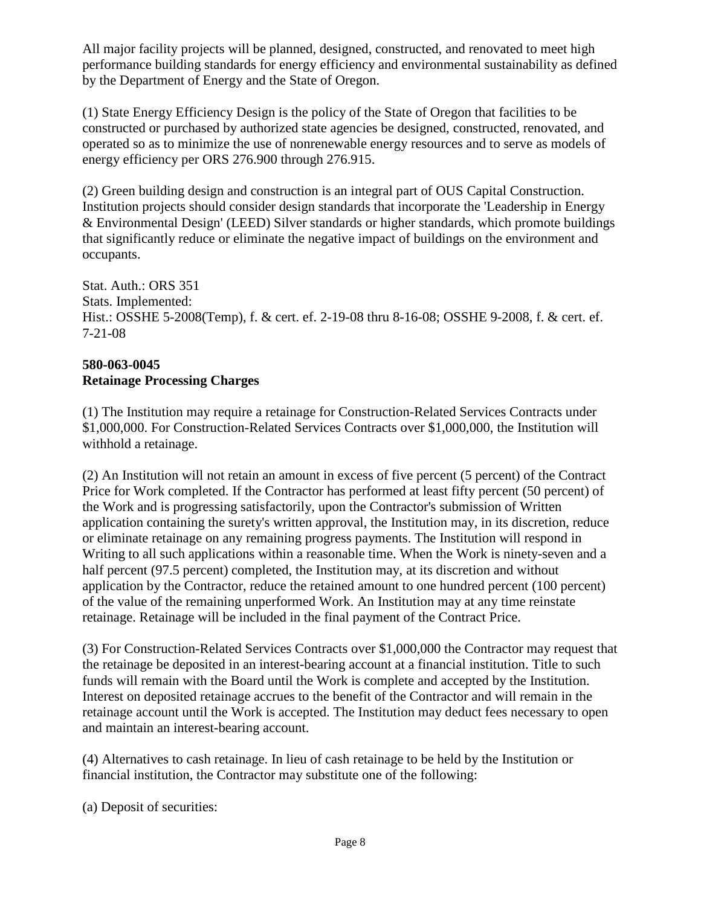All major facility projects will be planned, designed, constructed, and renovated to meet high performance building standards for energy efficiency and environmental sustainability as defined by the Department of Energy and the State of Oregon.

(1) State Energy Efficiency Design is the policy of the State of Oregon that facilities to be constructed or purchased by authorized state agencies be designed, constructed, renovated, and operated so as to minimize the use of nonrenewable energy resources and to serve as models of energy efficiency per ORS 276.900 through 276.915.

(2) Green building design and construction is an integral part of OUS Capital Construction. Institution projects should consider design standards that incorporate the 'Leadership in Energy & Environmental Design' (LEED) Silver standards or higher standards, which promote buildings that significantly reduce or eliminate the negative impact of buildings on the environment and occupants.

Stat. Auth.: ORS 351 Stats. Implemented: Hist.: OSSHE 5-2008(Temp), f. & cert. ef. 2-19-08 thru 8-16-08; OSSHE 9-2008, f. & cert. ef. 7-21-08

# **580-063-0045 Retainage Processing Charges**

(1) The Institution may require a retainage for Construction-Related Services Contracts under \$1,000,000. For Construction-Related Services Contracts over \$1,000,000, the Institution will withhold a retainage.

(2) An Institution will not retain an amount in excess of five percent (5 percent) of the Contract Price for Work completed. If the Contractor has performed at least fifty percent (50 percent) of the Work and is progressing satisfactorily, upon the Contractor's submission of Written application containing the surety's written approval, the Institution may, in its discretion, reduce or eliminate retainage on any remaining progress payments. The Institution will respond in Writing to all such applications within a reasonable time. When the Work is ninety-seven and a half percent (97.5 percent) completed, the Institution may, at its discretion and without application by the Contractor, reduce the retained amount to one hundred percent (100 percent) of the value of the remaining unperformed Work. An Institution may at any time reinstate retainage. Retainage will be included in the final payment of the Contract Price.

(3) For Construction-Related Services Contracts over \$1,000,000 the Contractor may request that the retainage be deposited in an interest-bearing account at a financial institution. Title to such funds will remain with the Board until the Work is complete and accepted by the Institution. Interest on deposited retainage accrues to the benefit of the Contractor and will remain in the retainage account until the Work is accepted. The Institution may deduct fees necessary to open and maintain an interest-bearing account.

(4) Alternatives to cash retainage. In lieu of cash retainage to be held by the Institution or financial institution, the Contractor may substitute one of the following:

(a) Deposit of securities: